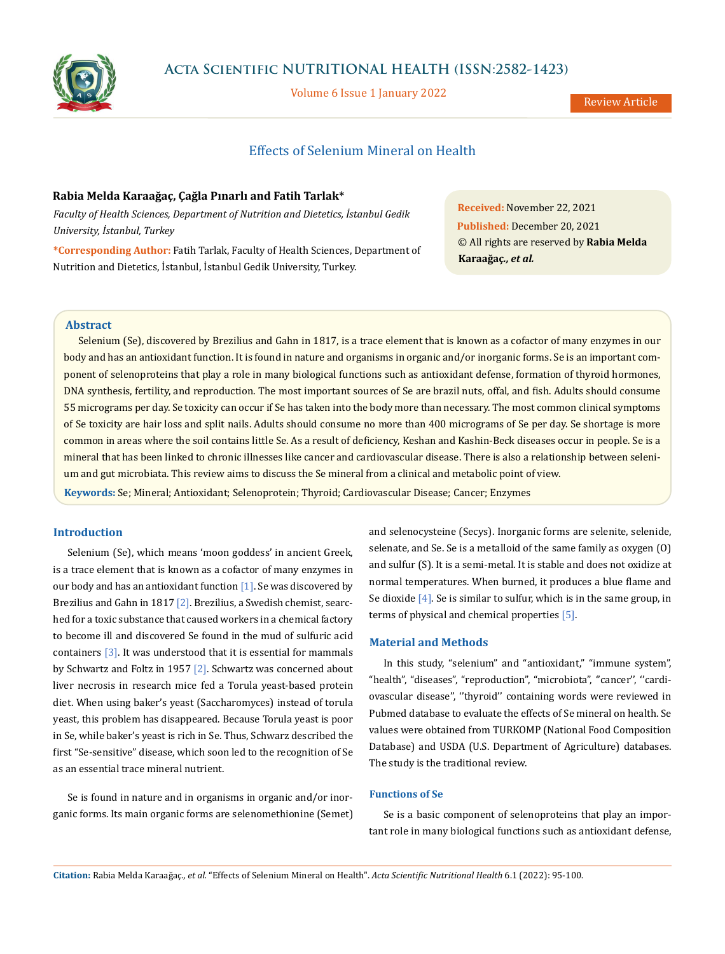

Volume 6 Issue 1 January 2022

# Effects of Selenium Mineral on Health

### **Rabia Melda Karaağaç, Çağla Pınarlı and Fatih Tarlak\***

*Faculty of Health Sciences, Department of Nutrition and Dietetics, İstanbul Gedik University, İstanbul, Turkey*

**\*Corresponding Author:** Fatih Tarlak, Faculty of Health Sciences, Department of Nutrition and Dietetics, İstanbul, İstanbul Gedik University, Turkey.

**Received:** November 22, 2021 **Published:** December 20, 2021 © All rights are reserved by **Rabia Melda Karaağaç***., et al.*

# **Abstract**

Selenium (Se), discovered by Brezilius and Gahn in 1817, is a trace element that is known as a cofactor of many enzymes in our body and has an antioxidant function. It is found in nature and organisms in organic and/or inorganic forms. Se is an important component of selenoproteins that play a role in many biological functions such as antioxidant defense, formation of thyroid hormones, DNA synthesis, fertility, and reproduction. The most important sources of Se are brazil nuts, offal, and fish. Adults should consume 55 micrograms per day. Se toxicity can occur if Se has taken into the body more than necessary. The most common clinical symptoms of Se toxicity are hair loss and split nails. Adults should consume no more than 400 micrograms of Se per day. Se shortage is more common in areas where the soil contains little Se. As a result of deficiency, Keshan and Kashin-Beck diseases occur in people. Se is a mineral that has been linked to chronic illnesses like cancer and cardiovascular disease. There is also a relationship between selenium and gut microbiata. This review aims to discuss the Se mineral from a clinical and metabolic point of view.

**Keywords:** Se; Mineral; Antioxidant; Selenoprotein; Thyroid; Cardiovascular Disease; Cancer; Enzymes

# **Introduction**

Selenium (Se), which means 'moon goddess' in ancient Greek, is a trace element that is known as a cofactor of many enzymes in our body and has an antioxidant function [1]. Se was discovered by Brezilius and Gahn in 1817 [2]. Brezilius, a Swedish chemist, searched for a toxic substance that caused workers in a chemical factory to become ill and discovered Se found in the mud of sulfuric acid containers [3]. It was understood that it is essential for mammals by Schwartz and Foltz in 1957 [2]. Schwartz was concerned about liver necrosis in research mice fed a Torula yeast-based protein diet. When using baker's yeast (Saccharomyces) instead of torula yeast, this problem has disappeared. Because Torula yeast is poor in Se, while baker's yeast is rich in Se. Thus, Schwarz described the first "Se-sensitive" disease, which soon led to the recognition of Se as an essential trace mineral nutrient.

Se is found in nature and in organisms in organic and/or inorganic forms. Its main organic forms are selenomethionine (Semet) and selenocysteine (Secys). Inorganic forms are selenite, selenide, selenate, and Se. Se is a metalloid of the same family as oxygen (O) and sulfur (S). It is a semi-metal. It is stable and does not oxidize at normal temperatures. When burned, it produces a blue flame and Se dioxide [4]. Se is similar to sulfur, which is in the same group, in terms of physical and chemical properties [5].

# **Material and Methods**

In this study, "selenium" and "antioxidant," "immune system", "health", "diseases", "reproduction", "microbiota", ''cancer'', ''cardiovascular disease'', ''thyroid'' containing words were reviewed in Pubmed database to evaluate the effects of Se mineral on health. Se values were obtained from TURKOMP (National Food Composition Database) and USDA (U.S. Department of Agriculture) databases. The study is the traditional review.

# **Functions of Se**

Se is a basic component of selenoproteins that play an important role in many biological functions such as antioxidant defense,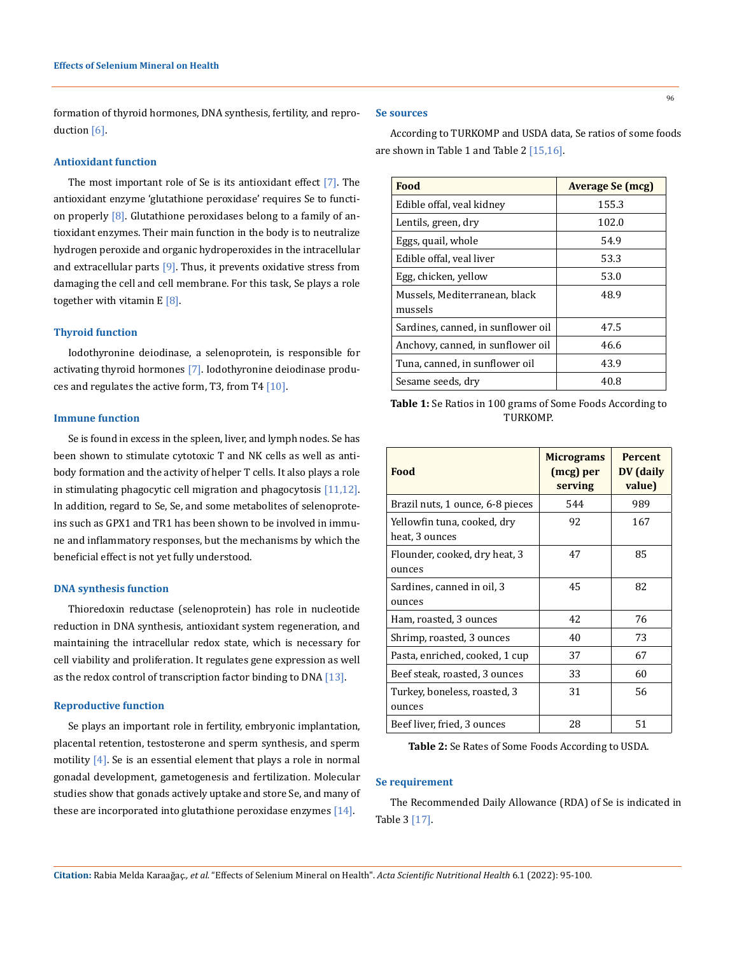formation of thyroid hormones, DNA synthesis, fertility, and reproduction [6].

#### **Antioxidant function**

The most important role of Se is its antioxidant effect [7]. The antioxidant enzyme 'glutathione peroxidase' requires Se to function properly  $[8]$ . Glutathione peroxidases belong to a family of antioxidant enzymes. Their main function in the body is to neutralize hydrogen peroxide and organic hydroperoxides in the intracellular and extracellular parts  $[9]$ . Thus, it prevents oxidative stress from damaging the cell and cell membrane. For this task, Se plays a role together with vitamin  $E[8]$ .

#### **Thyroid function**

Iodothyronine deiodinase, a selenoprotein, is responsible for activating thyroid hormones [7]. Iodothyronine deiodinase produces and regulates the active form, T3, from T4 [10].

### **Immune function**

Se is found in excess in the spleen, liver, and lymph nodes. Se has been shown to stimulate cytotoxic T and NK cells as well as antibody formation and the activity of helper T cells. It also plays a role in stimulating phagocytic cell migration and phagocytosis [11,12]. In addition, regard to Se, Se, and some metabolites of selenoproteins such as GPX1 and TR1 has been shown to be involved in immune and inflammatory responses, but the mechanisms by which the beneficial effect is not yet fully understood.

### **DNA synthesis function**

Thioredoxin reductase (selenoprotein) has role in nucleotide reduction in DNA synthesis, antioxidant system regeneration, and maintaining the intracellular redox state, which is necessary for cell viability and proliferation. It regulates gene expression as well as the redox control of transcription factor binding to DNA [13].

### **Reproductive function**

Se plays an important role in fertility, embryonic implantation, placental retention, testosterone and sperm synthesis, and sperm motility  $[4]$ . Se is an essential element that plays a role in normal gonadal development, gametogenesis and fertilization. Molecular studies show that gonads actively uptake and store Se, and many of these are incorporated into glutathione peroxidase enzymes [14].

#### **Se sources**

According to TURKOMP and USDA data, Se ratios of some foods are shown in Table 1 and Table 2 [15,16].

| Food                                     | <b>Average Se (mcg)</b> |
|------------------------------------------|-------------------------|
| Edible offal, veal kidney                | 155.3                   |
| Lentils, green, dry                      | 102.0                   |
| Eggs, quail, whole                       | 54.9                    |
| Edible offal, veal liver                 | 53.3                    |
| Egg, chicken, yellow                     | 53.0                    |
| Mussels, Mediterranean, black<br>mussels | 48.9                    |
| Sardines, canned, in sunflower oil       | 47.5                    |
| Anchovy, canned, in sunflower oil        | 46.6                    |
| Tuna, canned, in sunflower oil           | 43.9                    |
| Sesame seeds, dry                        | 40.8                    |

**Table 1:** Se Ratios in 100 grams of Some Foods According to TURKOMP.

| Food                                          | <b>Micrograms</b><br>(mcg) per<br>serving | <b>Percent</b><br>DV (daily<br>value) |
|-----------------------------------------------|-------------------------------------------|---------------------------------------|
| Brazil nuts, 1 ounce, 6-8 pieces              | 544                                       | 989                                   |
| Yellowfin tuna, cooked, dry<br>heat, 3 ounces | 92                                        | 167                                   |
| Flounder, cooked, dry heat, 3<br>ounces       | 47                                        | 85                                    |
| Sardines, canned in oil, 3<br>ounces          | 45                                        | 82                                    |
| Ham, roasted, 3 ounces                        | 42                                        | 76                                    |
| Shrimp, roasted, 3 ounces                     | 40                                        | 73                                    |
| Pasta, enriched, cooked, 1 cup                | 37                                        | 67                                    |
| Beef steak, roasted, 3 ounces                 | 33                                        | 60                                    |
| Turkey, boneless, roasted, 3<br>ounces        | 31                                        | 56                                    |
| Beef liver, fried, 3 ounces                   | 28                                        | 51                                    |

**Table 2:** Se Rates of Some Foods According to USDA.

### **Se requirement**

The Recommended Daily Allowance (RDA) of Se is indicated in Table 3 [17].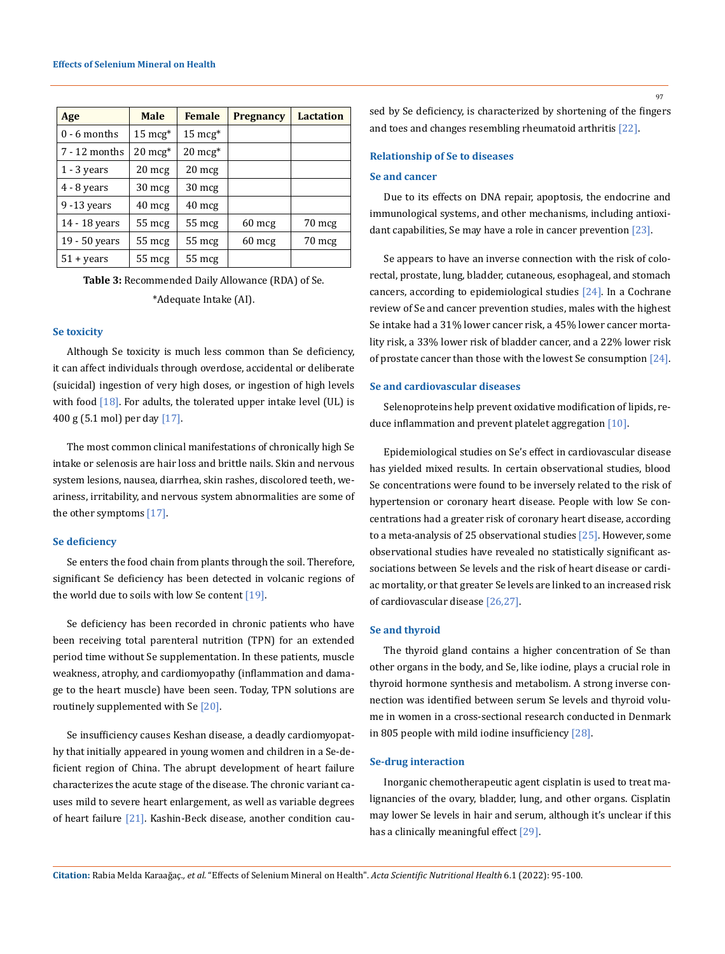| Age            | <b>Male</b>        | <b>Female</b>      | <b>Pregnancy</b> | <b>Lactation</b> |
|----------------|--------------------|--------------------|------------------|------------------|
| $0 - 6$ months | $15 \text{ mcg}^*$ | $15 \text{ mcg}^*$ |                  |                  |
| 7 - 12 months  | $20 \text{ mcg}^*$ | $20 \text{ mcg}^*$ |                  |                  |
| $1 - 3$ years  | $20 \text{ mcg}$   | $20 \text{ mg}$    |                  |                  |
| 4 - 8 years    | $30 \text{ mcg}$   | $30 \text{ mg}$    |                  |                  |
| 9 -13 years    | $40 \text{ mg}$    | $40 \text{ mg}$    |                  |                  |
| 14 - 18 years  | $55 \text{ mcg}$   | $55 \text{ mcg}$   | $60 \text{ mcg}$ | $70 \text{ mg}$  |
| 19 - 50 years  | $55 \text{ mcg}$   | 55 mcg             | $60 \text{ mcg}$ | 70 mcg           |
| $51 + years$   | $55 \text{ mcg}$   | $55$ mcg           |                  |                  |

**Table 3:** Recommended Daily Allowance (RDA) of Se. \*Adequate Intake (AI).

#### **Se toxicity**

Although Se toxicity is much less common than Se deficiency, it can affect individuals through overdose, accidental or deliberate (suicidal) ingestion of very high doses, or ingestion of high levels with food  $[18]$ . For adults, the tolerated upper intake level (UL) is 400 g (5.1 mol) per day [17].

The most common clinical manifestations of chronically high Se intake or selenosis are hair loss and brittle nails. Skin and nervous system lesions, nausea, diarrhea, skin rashes, discolored teeth, weariness, irritability, and nervous system abnormalities are some of the other symptoms [17].

# **Se deficiency**

Se enters the food chain from plants through the soil. Therefore, significant Se deficiency has been detected in volcanic regions of the world due to soils with low Se content [19].

Se deficiency has been recorded in chronic patients who have been receiving total parenteral nutrition (TPN) for an extended period time without Se supplementation. In these patients, muscle weakness, atrophy, and cardiomyopathy (inflammation and damage to the heart muscle) have been seen. Today, TPN solutions are routinely supplemented with Se [20].

Se insufficiency causes Keshan disease, a deadly cardiomyopathy that initially appeared in young women and children in a Se-deficient region of China. The abrupt development of heart failure characterizes the acute stage of the disease. The chronic variant causes mild to severe heart enlargement, as well as variable degrees of heart failure [21]. Kashin-Beck disease, another condition cau97

sed by Se deficiency, is characterized by shortening of the fingers and toes and changes resembling rheumatoid arthritis [22].

# **Relationship of Se to diseases**

# **Se and cancer**

Due to its effects on DNA repair, apoptosis, the endocrine and immunological systems, and other mechanisms, including antioxidant capabilities, Se may have a role in cancer prevention [23].

Se appears to have an inverse connection with the risk of colorectal, prostate, lung, bladder, cutaneous, esophageal, and stomach cancers, according to epidemiological studies [24]. In a Cochrane review of Se and cancer prevention studies, males with the highest Se intake had a 31% lower cancer risk, a 45% lower cancer mortality risk, a 33% lower risk of bladder cancer, and a 22% lower risk of prostate cancer than those with the lowest Se consumption [24].

#### **Se and cardiovascular diseases**

Selenoproteins help prevent oxidative modification of lipids, reduce inflammation and prevent platelet aggregation [10].

Epidemiological studies on Se's effect in cardiovascular disease has yielded mixed results. In certain observational studies, blood Se concentrations were found to be inversely related to the risk of hypertension or coronary heart disease. People with low Se concentrations had a greater risk of coronary heart disease, according to a meta-analysis of 25 observational studies [25]. However, some observational studies have revealed no statistically significant associations between Se levels and the risk of heart disease or cardiac mortality, or that greater Se levels are linked to an increased risk of cardiovascular disease [26,27].

## **Se and thyroid**

The thyroid gland contains a higher concentration of Se than other organs in the body, and Se, like iodine, plays a crucial role in thyroid hormone synthesis and metabolism. A strong inverse connection was identified between serum Se levels and thyroid volume in women in a cross-sectional research conducted in Denmark in 805 people with mild iodine insufficiency [28].

### **Se-drug interaction**

Inorganic chemotherapeutic agent cisplatin is used to treat malignancies of the ovary, bladder, lung, and other organs. Cisplatin may lower Se levels in hair and serum, although it's unclear if this has a clinically meaningful effect [29].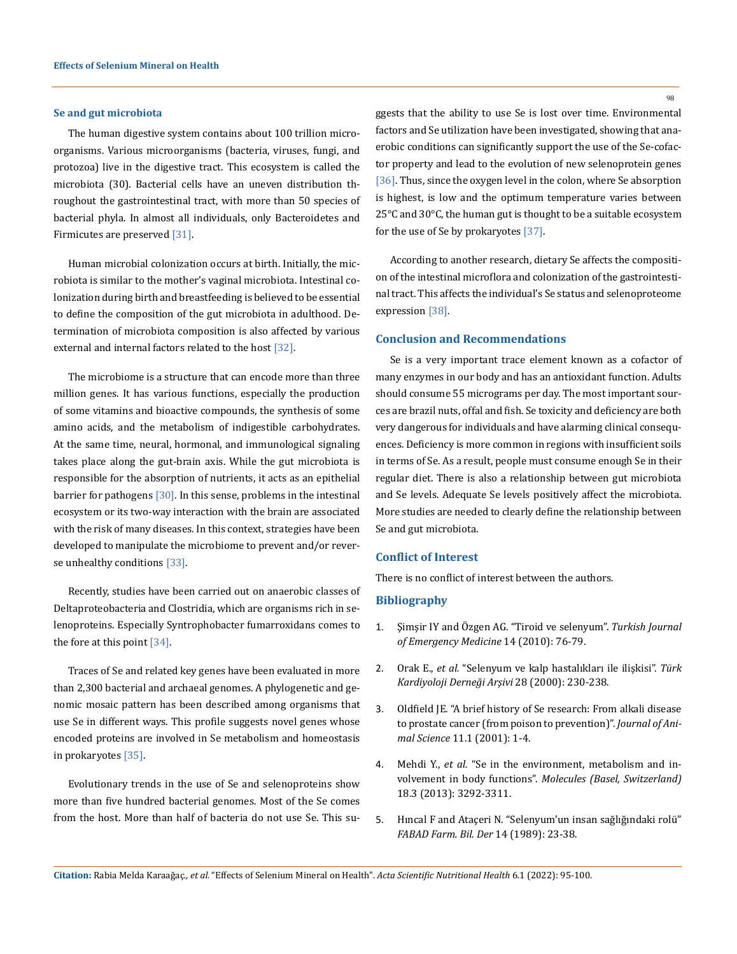#### **Se and gut microbiota**

The human digestive system contains about 100 trillion microorganisms. Various microorganisms (bacteria, viruses, fungi, and protozoa) live in the digestive tract. This ecosystem is called the microbiota (30). Bacterial cells have an uneven distribution throughout the gastrointestinal tract, with more than 50 species of bacterial phyla. In almost all individuals, only Bacteroidetes and Firmicutes are preserved [31].

Human microbial colonization occurs at birth. Initially, the microbiota is similar to the mother's vaginal microbiota. Intestinal colonization during birth and breastfeeding is believed to be essential to define the composition of the gut microbiota in adulthood. Determination of microbiota composition is also affected by various external and internal factors related to the host [32].

The microbiome is a structure that can encode more than three million genes. It has various functions, especially the production of some vitamins and bioactive compounds, the synthesis of some amino acids, and the metabolism of indigestible carbohydrates. At the same time, neural, hormonal, and immunological signaling takes place along the gut-brain axis. While the gut microbiota is responsible for the absorption of nutrients, it acts as an epithelial barrier for pathogens [30]. In this sense, problems in the intestinal ecosystem or its two-way interaction with the brain are associated with the risk of many diseases. In this context, strategies have been developed to manipulate the microbiome to prevent and/or reverse unhealthy conditions [33].

Recently, studies have been carried out on anaerobic classes of Deltaproteobacteria and Clostridia, which are organisms rich in selenoproteins. Especially Syntrophobacter fumarroxidans comes to the fore at this point [34].

Traces of Se and related key genes have been evaluated in more than 2,300 bacterial and archaeal genomes. A phylogenetic and genomic mosaic pattern has been described among organisms that use Se in different ways. This profile suggests novel genes whose encoded proteins are involved in Se metabolism and homeostasis in prokaryotes [35].

Evolutionary trends in the use of Se and selenoproteins show more than five hundred bacterial genomes. Most of the Se comes from the host. More than half of bacteria do not use Se. This su98

ggests that the ability to use Se is lost over time. Environmental factors and Se utilization have been investigated, showing that anaerobic conditions can significantly support the use of the Se-cofactor property and lead to the evolution of new selenoprotein genes [36]. Thus, since the oxygen level in the colon, where Se absorption is highest, is low and the optimum temperature varies between 25°C and 30°C, the human gut is thought to be a suitable ecosystem for the use of Se by prokaryotes [37].

According to another research, dietary Se affects the composition of the intestinal microflora and colonization of the gastrointestinal tract. This affects the individual's Se status and selenoproteome expression [38].

### **Conclusion and Recommendations**

Se is a very important trace element known as a cofactor of many enzymes in our body and has an antioxidant function. Adults should consume 55 micrograms per day. The most important sources are brazil nuts, offal and fish. Se toxicity and deficiency are both very dangerous for individuals and have alarming clinical consequences. Deficiency is more common in regions with insufficient soils in terms of Se. As a result, people must consume enough Se in their regular diet. There is also a relationship between gut microbiota and Se levels. Adequate Se levels positively affect the microbiota. More studies are needed to clearly define the relationship between Se and gut microbiota.

# **Conflict of Interest**

There is no conflict of interest between the authors.

# **Bibliography**

- 1. Şimşir IY and Özgen AG. "Tiroid ve selenyum". *Turkish Journal of Emergency Medicine* 14 (2010): 76-79.
- 2. Orak E., *et al.* ["Selenyum ve kalp hastalıkları ile ilişkisi".](https://jag.journalagent.com/tkd/pdfs/TKDA_28_4_230_238.pdf) *Türk [Kardiyoloji Derneği Arşivi](https://jag.journalagent.com/tkd/pdfs/TKDA_28_4_230_238.pdf)* 28 (2000): 230-238.
- 3. [Oldfield JE. "A brief history of Se research: From alkali disease](https://www.asas.org/docs/default-source/midwest/mw2020/publications/oldfieldhist.pdf?sfvrsn=b5eefff0_0)  [to prostate cancer \(from poison to prevention\)".](https://www.asas.org/docs/default-source/midwest/mw2020/publications/oldfieldhist.pdf?sfvrsn=b5eefff0_0) *Journal of Animal Science* [11.1 \(2001\): 1-4.](https://www.asas.org/docs/default-source/midwest/mw2020/publications/oldfieldhist.pdf?sfvrsn=b5eefff0_0)
- 4. Mehdi Y., *et al.* ["Se in the environment, metabolism and in](https://pubmed.ncbi.nlm.nih.gov/23486107/)volvement in body functions". *[Molecules \(Basel, Switzerland\)](https://pubmed.ncbi.nlm.nih.gov/23486107/)* [18.3 \(2013\): 3292-3311.](https://pubmed.ncbi.nlm.nih.gov/23486107/)
- 5. [Hıncal F and Ataçeri N. "Selenyum'un insan sağlığındaki rolü"](http://dergi.fabad.org.tr/pdf/volum14/Issue1/4.pdf)  *[FABAD Farm. Bil. Der](http://dergi.fabad.org.tr/pdf/volum14/Issue1/4.pdf)* 14 (1989): 23-38.

**Citation:** Rabia Melda Karaağaç*., et al.* "Effects of Selenium Mineral on Health". *Acta Scientific Nutritional Health* 6.1 (2022): 95-100.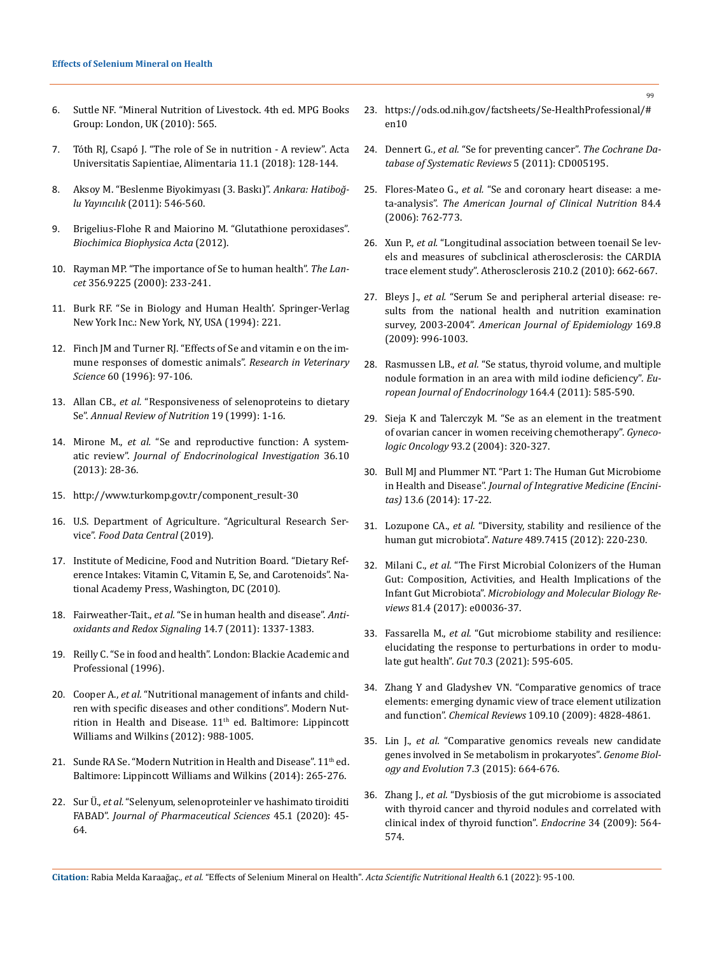- 6. [Suttle NF. "Mineral Nutrition of Livestock. 4th ed. MPG Books](http://www.ucv.ve/fileadmin/user_upload/facultad_agronomia/Producion_Animal/Minerals_in_Animal_Nutrition.pdf)  [Group: London, UK \(2010\): 565.](http://www.ucv.ve/fileadmin/user_upload/facultad_agronomia/Producion_Animal/Minerals_in_Animal_Nutrition.pdf)
- 7. [Tóth RJ, Csapó J. "The role of Se in nutrition A review". Acta](https://www.researchgate.net/publication/330124726_The_role_of_selenium_in_nutrition_-_A_review)  [Universitatis Sapientiae, Alimentaria 11.1 \(2018\): 128-144.](https://www.researchgate.net/publication/330124726_The_role_of_selenium_in_nutrition_-_A_review)
- 8. Aksoy M. "Beslenme Biyokimyası (3. Baskı)". *Ankara: Hatiboğlu Yayıncılık* (2011): 546-560.
- 9. [Brigelius-Flohe R and Maiorino M. "Glutathione peroxidases".](https://pubmed.ncbi.nlm.nih.gov/23201771/)  *[Biochimica Biophysica Acta](https://pubmed.ncbi.nlm.nih.gov/23201771/)* (2012).
- 10. [Rayman MP. "The importance of Se to human health".](https://pubmed.ncbi.nlm.nih.gov/10963212/) *The Lancet* [356.9225 \(2000\): 233-241.](https://pubmed.ncbi.nlm.nih.gov/10963212/)
- 11. [Burk RF. "Se in Biology and Human Health'. Springer-Verlag](https://link.springer.com/book/10.1007/978-1-4612-2592-8)  [New York Inc.: New York, NY, USA \(1994\): 221.](https://link.springer.com/book/10.1007/978-1-4612-2592-8)
- 12. [Finch JM and Turner RJ. "Effects of Se and vitamin e on the im](https://pubmed.ncbi.nlm.nih.gov/8685547/)[mune responses of domestic animals".](https://pubmed.ncbi.nlm.nih.gov/8685547/) *Research in Veterinary Science* [60 \(1996\): 97-106.](https://pubmed.ncbi.nlm.nih.gov/8685547/)
- 13. Allan CB., *et al.* ["Responsiveness of selenoproteins to dietary](https://pubmed.ncbi.nlm.nih.gov/10448514/)  Se". *[Annual Review of Nutrition](https://pubmed.ncbi.nlm.nih.gov/10448514/)* 19 (1999): 1-16.
- 14. Mirone M., *et al.* ["Se and reproductive function: A system](file:///E:/ANUSHA/Acta/JANAUARY/ASNH/ASNH-21-RW-331/41)atic review". *[Journal of Endocrinological](file:///E:/ANUSHA/Acta/JANAUARY/ASNH/ASNH-21-RW-331/41) Investigation* 36.10 [\(2013\): 28-36.](file:///E:/ANUSHA/Acta/JANAUARY/ASNH/ASNH-21-RW-331/41)
- 15. [http://www.turkomp.gov.tr/component\\_result-30](http://www.turkomp.gov.tr/component_result-30)
- 16. U.S. Department of Agriculture. "Agricultural Research Service". *[Food Data Central](https://fdc.nal.usda.gov/)* (2019).
- 17. [Institute of Medicine, Food and Nutrition Board. "Dietary Ref](https://www.ncbi.nlm.nih.gov/books/NBK225483/)[erence Intakes: Vitamin C, Vitamin E, Se, and Carotenoids". Na](https://www.ncbi.nlm.nih.gov/books/NBK225483/)[tional Academy Press, Washington, DC \(2010\).](https://www.ncbi.nlm.nih.gov/books/NBK225483/)
- 18. Fairweather-Tait., *et al.* "Se in human health and disease". *Antioxidants and Redox Signaling* 14.7 (2011): 1337-1383.
- 19. Reilly C. "Se in food and health". London: Blackie Academic and Professional (1996).
- 20. Cooper A., *et al.* "Nutritional management of infants and children with specific diseases and other conditions". Modern Nutrition in Health and Disease.  $11<sup>th</sup>$  ed. Baltimore: Lippincott Williams and Wilkins (2012): 988-1005.
- 21. Sunde RA Se. "Modern Nutrition in Health and Disease".  $11<sup>th</sup>$ ed. Baltimore: Lippincott Williams and Wilkins (2014): 265-276.
- 22. Sur Ü., *et al.* ["Selenyum, selenoproteinler ve hashimato tiroiditi](file:///E:/ANUSHA/Acta/JANAUARY/ASNH/ASNH-21-RW-331/4)  FABAD". *[Journal of Pharmaceutical Sciences](file:///E:/ANUSHA/Acta/JANAUARY/ASNH/ASNH-21-RW-331/4)* 45.1 (2020): 45- [64.](file:///E:/ANUSHA/Acta/JANAUARY/ASNH/ASNH-21-RW-331/4)
- 23. [https://ods.od.nih.gov/factsheets/Se-HealthProfessional/#](https://ods.od.nih.gov/factsheets/Se-HealthProfessional/#en10)  [en10](https://ods.od.nih.gov/factsheets/Se-HealthProfessional/#en10)
- 24. Dennert G., *et al.* ["Se for preventing cancer".](https://www.ncbi.nlm.nih.gov/pmc/articles/PMC6491296/) *The Cochrane Da[tabase of Systematic Reviews](https://www.ncbi.nlm.nih.gov/pmc/articles/PMC6491296/)* 5 (2011): CD005195.
- 25. Flores-Mateo G., *et al.* ["Se and coronary heart disease: a me](https://pubmed.ncbi.nlm.nih.gov/17023702/)ta-analysis". *[The American Journal of Clinical Nutrition](https://pubmed.ncbi.nlm.nih.gov/17023702/)* 84.4 [\(2006\): 762-773.](https://pubmed.ncbi.nlm.nih.gov/17023702/)
- 26. Xun P., *et al.* ["Longitudinal association between toenail Se lev](https://pubmed.ncbi.nlm.nih.gov/20138620/)[els and measures of subclinical atherosclerosis: the CARDIA](https://pubmed.ncbi.nlm.nih.gov/20138620/)  trace element study". [Atherosclerosis 210.2 \(2010\): 662-667.](https://pubmed.ncbi.nlm.nih.gov/20138620/)
- 27. Bleys J., *et al.* ["Serum Se and peripheral arterial disease: re](https://academic.oup.com/aje/article/169/8/996/98892)[sults from the national health and nutrition examination](https://academic.oup.com/aje/article/169/8/996/98892)  survey, 2003-2004". *[American Journal of Epidemiology](https://academic.oup.com/aje/article/169/8/996/98892)* 169.8 [\(2009\): 996-1003.](https://academic.oup.com/aje/article/169/8/996/98892)
- 28. Rasmussen LB., *et al.* ["Se status, thyroid volume, and multiple](https://pubmed.ncbi.nlm.nih.gov/21242171/)  [nodule formation in an area with mild iodine deficiency".](https://pubmed.ncbi.nlm.nih.gov/21242171/) *Eu[ropean Journal of Endocrinology](https://pubmed.ncbi.nlm.nih.gov/21242171/)* 164.4 (2011): 585-590.
- 29. [Sieja K and Talerczyk M. "Se as an element in the treatment](https://pubmed.ncbi.nlm.nih.gov/15099940/)  [of ovarian cancer in women receiving chemotherapy".](https://pubmed.ncbi.nlm.nih.gov/15099940/) *Gynecologic Oncology* [93.2 \(2004\): 320-327.](https://pubmed.ncbi.nlm.nih.gov/15099940/)
- 30. [Bull MJ and Plummer NT. "Part 1: The Human Gut Microbiome](https://www.ncbi.nlm.nih.gov/pmc/articles/PMC4566439/)  in Health and Disease". *[Journal of Integrative Medicine \(Encini](https://www.ncbi.nlm.nih.gov/pmc/articles/PMC4566439/)tas)* [13.6 \(2014\): 17-22.](https://www.ncbi.nlm.nih.gov/pmc/articles/PMC4566439/)
- 31. Lozupone CA., *et al.* ["Diversity, stability and resilience of the](https://www.nature.com/articles/nature11550)  human gut microbiota". *Nature* [489.7415 \(2012\): 220-230.](https://www.nature.com/articles/nature11550)
- 32. Milani C., *et al.* ["The First Microbial Colonizers of the Human](https://www.ncbi.nlm.nih.gov/pmc/articles/PMC5706746/)  [Gut: Composition, Activities, and Health Implications of the](https://www.ncbi.nlm.nih.gov/pmc/articles/PMC5706746/)  Infant Gut Microbiota". *[Microbiology and Molecular Biology Re](https://www.ncbi.nlm.nih.gov/pmc/articles/PMC5706746/)views* [81.4 \(2017\): e00036-37.](https://www.ncbi.nlm.nih.gov/pmc/articles/PMC5706746/)
- 33. Fassarella M., *et al.* ["Gut microbiome stability and resilience:](https://gut.bmj.com/content/70/3/595)  [elucidating the response to perturbations in order to modu](https://gut.bmj.com/content/70/3/595)late gut health". *Gut* [70.3 \(2021\): 595-605.](https://gut.bmj.com/content/70/3/595)
- 34. [Zhang Y and Gladyshev VN. "Comparative genomics of trace](https://pubmed.ncbi.nlm.nih.gov/19459624/)  [elements: emerging dynamic view of trace element utilization](https://pubmed.ncbi.nlm.nih.gov/19459624/)  and function". *Chemical Reviews* [109.10 \(2009\): 4828-4861.](https://pubmed.ncbi.nlm.nih.gov/19459624/)
- 35. Lin J., *et al.* ["Comparative genomics reveals new candidate](https://pubmed.ncbi.nlm.nih.gov/25638258/)  [genes involved in Se metabolism in prokaryotes".](https://pubmed.ncbi.nlm.nih.gov/25638258/) *Genome Biol[ogy and Evolution](https://pubmed.ncbi.nlm.nih.gov/25638258/)* 7.3 (2015): 664-676.
- 36. Zhang J., *et al.* ["Dysbiosis of the gut microbiome is associated](https://pubmed.ncbi.nlm.nih.gov/30584647/)  [with thyroid cancer and thyroid nodules and correlated with](https://pubmed.ncbi.nlm.nih.gov/30584647/)  [clinical index of thyroid function".](https://pubmed.ncbi.nlm.nih.gov/30584647/) *Endocrine* 34 (2009): 564- [574.](https://pubmed.ncbi.nlm.nih.gov/30584647/)

**Citation:** Rabia Melda Karaağaç*., et al.* "Effects of Selenium Mineral on Health". *Acta Scientific Nutritional Health* 6.1 (2022): 95-100.

99